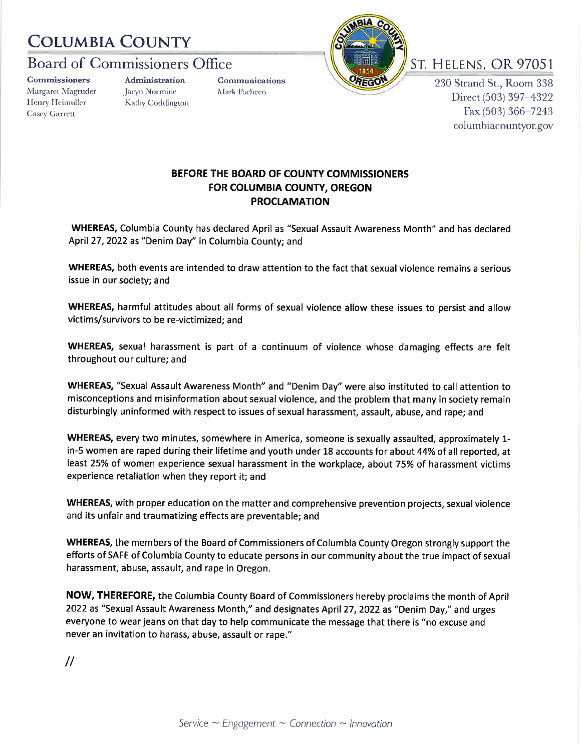## COLUMBIA COUXTY

## Board of Commissioners Office ST. HELENS, OR 97051

**Commissioners** Margaret Magruder Henry Heimuller Casev Garrett

**Administration** Jacyn Normine Kathy Coddington Qomrnunications Mark Pacheco



230 Strand St., Room 338 Direct (503) 397-4322 Fax (503) 366 7243 columbiacountyor.gov

## BEFORE THE BOARD OF COUNTY COMMISSIONERS FOR COLUMBIA COUNTY, OREGON PROCLAMATION

WHEREAS, Columbia County has declared April as "sexual Assault Awareness Month" and has declared April 27, 2022 as "Denim Day" in Columbia County; and

WHEREAS, both events are intended to draw attention to the fact that sexual violence remains a serious issue in our society; and

WHEREAS, harmful attitudes about all forms of sexual violence allow these issues to persist and allow victims/survivors to be re-victimized; and

WHEREAS, sexual harassment is part of a continuum of violence whose damaging effects are felt throughout our culture; and

WHEREAS, "Sexual Assault Awareness Month" and "Denim Day" were also instituted to call attention to misconceptions and misinformation about sexual violence, and the problem that many in society remain disturbingly uninformed with respect to issues of sexual harassment, assault, abuse, and rape; and

WHEREAS, every two minutes, somewhere in America, someone is sexually assaulted, approximately 1 in-5 women are raped during their lifetime and youth under 18 accounts for about 44%of all reported, at least 25% of women experience sexual harassment in the workplace, about 75% of harassment victims experience retaliation when they report it; and

WHEREAS, with proper education on the matter and comprehensive prevention projects, sexual violence and its unfair and traumatizing effects are preventable; and

WHEREAS, the members of the Board of Commissioners of Columbia County Oregon strongly support the efforts of SAFE of Columbia County to educate persons in our community about the true impact of sexual harassment, abuse, assault, and rape in Oregon.

NOW, THEREFORE, the Columbia County Board of Commissioners hereby proclaims the month of April 2022 as "Sexual Assault Awareness Month," and designates April 27,2022 as "Denim Day," and urges everyone to wear jeans on that day to help communicate the message that there is "no excuse and never an invitation to harass, abuse, assault or rape."

//